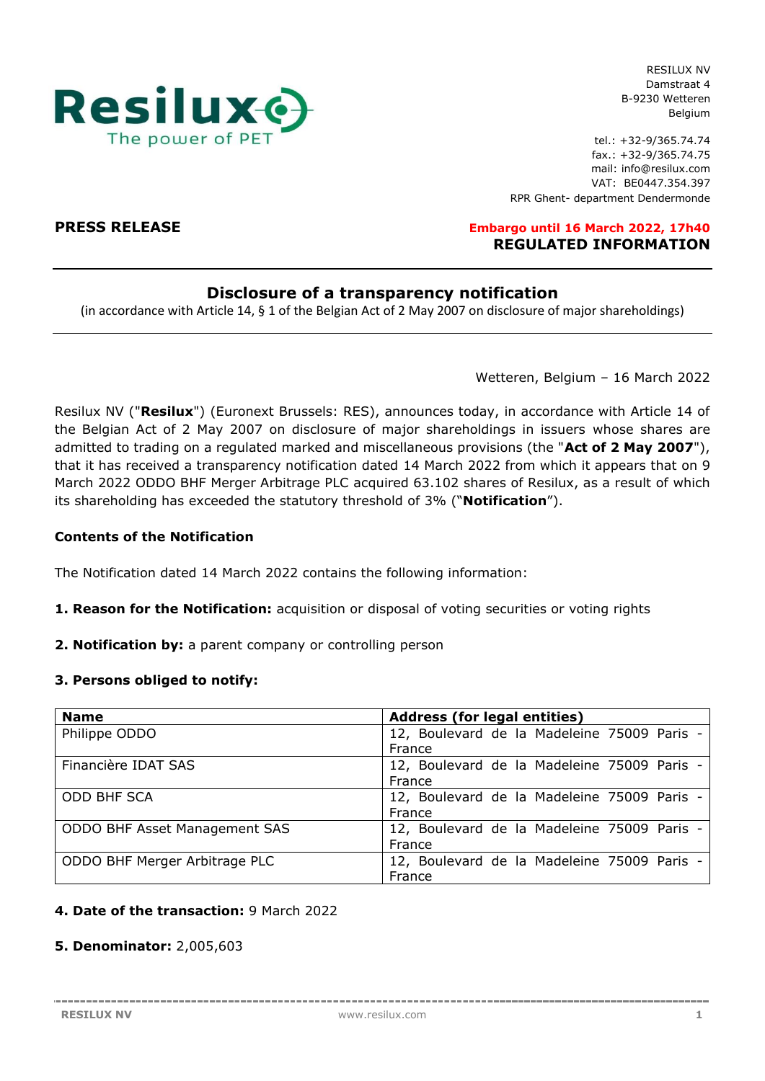

RESILUX NV Damstraat 4 B-9230 Wetteren Belgium

tel.: +32-9/365.74.74 fax.: +32-9/365.74.75 mail: info@resilux.com VAT: BE0447.354.397 RPR Ghent- department Dendermonde

**PRESS RELEASE Embargo until 16 March 2022, 17h40 REGULATED INFORMATION**

# **Disclosure of a transparency notification**

(in accordance with Article 14, § 1 of the Belgian Act of 2 May 2007 on disclosure of major shareholdings)

Wetteren, Belgium – 16 March 2022

Resilux NV ("**Resilux**") (Euronext Brussels: RES), announces today, in accordance with Article 14 of the Belgian Act of 2 May 2007 on disclosure of major shareholdings in issuers whose shares are admitted to trading on a regulated marked and miscellaneous provisions (the "**Act of 2 May 2007**"), that it has received a transparency notification dated 14 March 2022 from which it appears that on 9 March 2022 ODDO BHF Merger Arbitrage PLC acquired 63.102 shares of Resilux, as a result of which its shareholding has exceeded the statutory threshold of 3% ("**Notification**").

## **Contents of the Notification**

The Notification dated 14 March 2022 contains the following information:

- **1. Reason for the Notification:** acquisition or disposal of voting securities or voting rights
- **2. Notification by:** a parent company or controlling person

## **3. Persons obliged to notify:**

| <b>Name</b>                   | <b>Address (for legal entities)</b>         |  |  |  |
|-------------------------------|---------------------------------------------|--|--|--|
| Philippe ODDO                 | 12, Boulevard de la Madeleine 75009 Paris - |  |  |  |
|                               | France                                      |  |  |  |
| Financière IDAT SAS           | 12, Boulevard de la Madeleine 75009 Paris - |  |  |  |
|                               | France                                      |  |  |  |
| <b>ODD BHF SCA</b>            | 12, Boulevard de la Madeleine 75009 Paris - |  |  |  |
|                               | France                                      |  |  |  |
| ODDO BHF Asset Management SAS | 12, Boulevard de la Madeleine 75009 Paris - |  |  |  |
|                               | France                                      |  |  |  |
| ODDO BHF Merger Arbitrage PLC | 12, Boulevard de la Madeleine 75009 Paris - |  |  |  |
|                               | France                                      |  |  |  |

# **4. Date of the transaction:** 9 March 2022

# **5. Denominator:** 2,005,603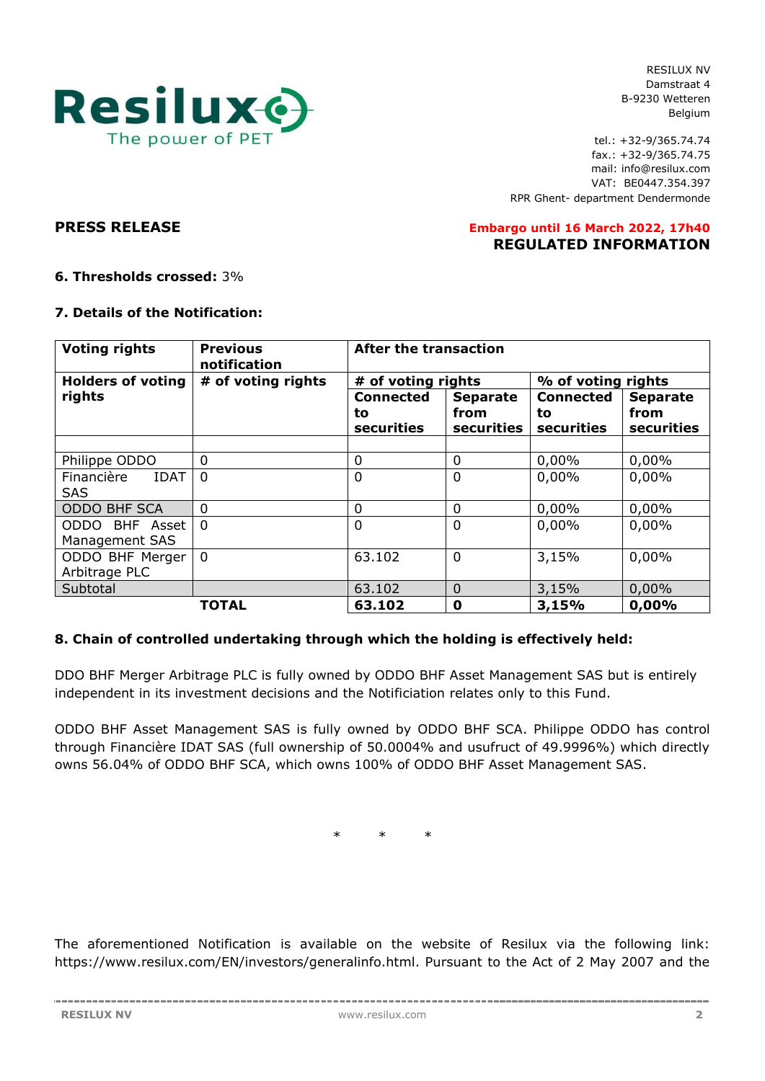

RESILUX NV Damstraat 4 B-9230 Wetteren Belgium

tel.: +32-9/365.74.74 fax.: +32-9/365.74.75 mail: info@resilux.com VAT: BE0447.354.397 RPR Ghent- department Dendermonde

### **PRESS RELEASE Embargo until 16 March 2022, 17h40 REGULATED INFORMATION**

# **6. Thresholds crossed:** 3%

## **7. Details of the Notification:**

| <b>Voting rights</b>                    | <b>Previous</b><br>notification | <b>After the transaction</b>         |                                       |                                      |                                       |  |
|-----------------------------------------|---------------------------------|--------------------------------------|---------------------------------------|--------------------------------------|---------------------------------------|--|
| <b>Holders of voting</b>                | # of voting rights              | # of voting rights                   |                                       | % of voting rights                   |                                       |  |
| rights                                  |                                 | <b>Connected</b><br>to<br>securities | <b>Separate</b><br>from<br>securities | <b>Connected</b><br>to<br>securities | <b>Separate</b><br>from<br>securities |  |
|                                         |                                 |                                      |                                       |                                      |                                       |  |
| Philippe ODDO                           | $\mathbf 0$                     | 0                                    | 0                                     | 0,00%                                | 0,00%                                 |  |
| Financière<br><b>IDAT</b><br><b>SAS</b> | $\Omega$                        | $\mathbf 0$                          | $\overline{0}$                        | 0,00%                                | 0,00%                                 |  |
| <b>ODDO BHF SCA</b>                     | $\Omega$                        | 0                                    | $\Omega$                              | 0,00%                                | 0,00%                                 |  |
| ODDO BHF Asset<br>Management SAS        | $\Omega$                        | $\mathbf 0$                          | 0                                     | 0,00%                                | 0,00%                                 |  |
| ODDO BHF Merger<br>Arbitrage PLC        | $\overline{0}$                  | 63.102                               | $\overline{0}$                        | 3,15%                                | 0,00%                                 |  |
| Subtotal                                |                                 | 63.102                               | $\overline{0}$                        | 3,15%                                | 0,00%                                 |  |
|                                         | <b>TOTAL</b>                    | 63.102                               | $\mathbf 0$                           | 3,15%                                | 0,00%                                 |  |

# **8. Chain of controlled undertaking through which the holding is effectively held:**

DDO BHF Merger Arbitrage PLC is fully owned by ODDO BHF Asset Management SAS but is entirely independent in its investment decisions and the Notificiation relates only to this Fund.

ODDO BHF Asset Management SAS is fully owned by ODDO BHF SCA. Philippe ODDO has control through Financière IDAT SAS (full ownership of 50.0004% and usufruct of 49.9996%) which directly owns 56.04% of ODDO BHF SCA, which owns 100% of ODDO BHF Asset Management SAS.

\* \* \*

The aforementioned Notification is available on the website of Resilux via the following link: https://www.resilux.com/EN/investors/generalinfo.html. Pursuant to the Act of 2 May 2007 and the